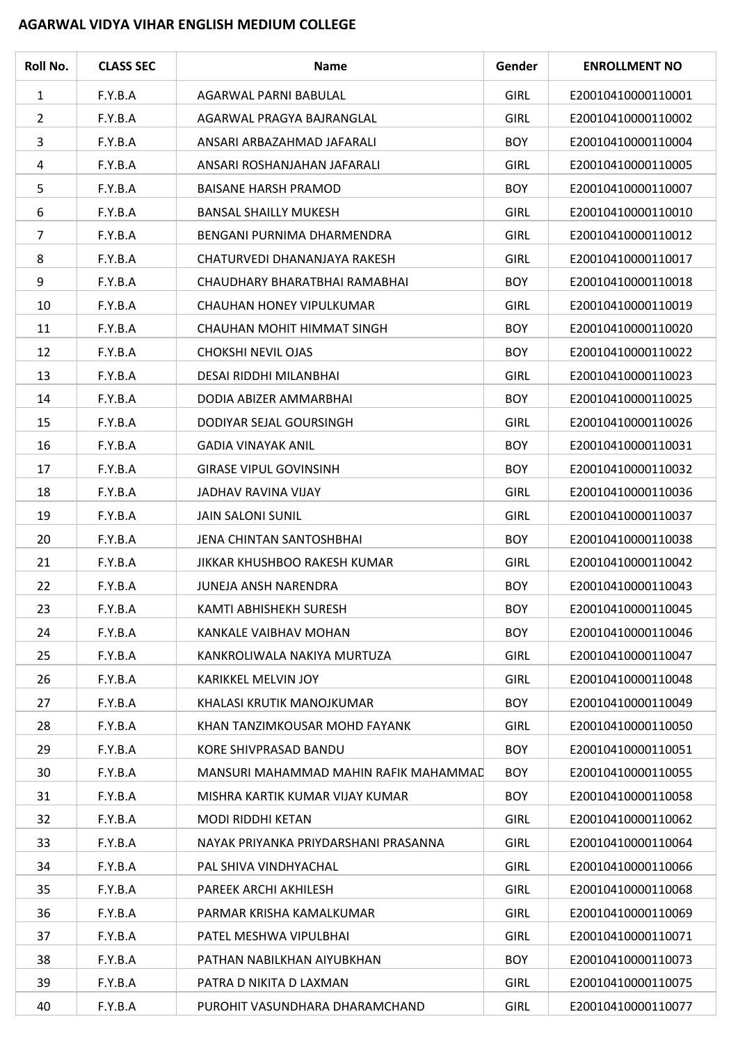## **AGARWAL VIDYA VIHAR ENGLISH MEDIUM COLLEGE**

| Roll No.       | <b>CLASS SEC</b> | <b>Name</b>                           | Gender      | <b>ENROLLMENT NO</b> |
|----------------|------------------|---------------------------------------|-------------|----------------------|
| $\mathbf{1}$   | F.Y.B.A          | AGARWAL PARNI BABULAL                 | <b>GIRL</b> | E20010410000110001   |
| $\overline{2}$ | F.Y.B.A          | AGARWAL PRAGYA BAJRANGLAL             | <b>GIRL</b> | E20010410000110002   |
| 3              | F.Y.B.A          | ANSARI ARBAZAHMAD JAFARALI            | <b>BOY</b>  | E20010410000110004   |
| 4              | F.Y.B.A          | ANSARI ROSHANJAHAN JAFARALI           | <b>GIRL</b> | E20010410000110005   |
| 5              | F.Y.B.A          | <b>BAISANE HARSH PRAMOD</b>           | <b>BOY</b>  | E20010410000110007   |
| 6              | F.Y.B.A          | <b>BANSAL SHAILLY MUKESH</b>          | <b>GIRL</b> | E20010410000110010   |
| 7              | F.Y.B.A          | BENGANI PURNIMA DHARMENDRA            | <b>GIRL</b> | E20010410000110012   |
| 8              | F.Y.B.A          | CHATURVEDI DHANANJAYA RAKESH          | <b>GIRL</b> | E20010410000110017   |
| 9              | F.Y.B.A          | CHAUDHARY BHARATBHAI RAMABHAI         | <b>BOY</b>  | E20010410000110018   |
| 10             | F.Y.B.A          | CHAUHAN HONEY VIPULKUMAR              | <b>GIRL</b> | E20010410000110019   |
| 11             | F.Y.B.A          | CHAUHAN MOHIT HIMMAT SINGH            | <b>BOY</b>  | E20010410000110020   |
| 12             | F.Y.B.A          | CHOKSHI NEVIL OJAS                    | <b>BOY</b>  | E20010410000110022   |
| 13             | F.Y.B.A          | DESAI RIDDHI MILANBHAI                | <b>GIRL</b> | E20010410000110023   |
| 14             | F.Y.B.A          | DODIA ABIZER AMMARBHAI                | <b>BOY</b>  | E20010410000110025   |
| 15             | F.Y.B.A          | DODIYAR SEJAL GOURSINGH               | <b>GIRL</b> | E20010410000110026   |
| 16             | F.Y.B.A          | <b>GADIA VINAYAK ANIL</b>             | <b>BOY</b>  | E20010410000110031   |
| 17             | F.Y.B.A          | <b>GIRASE VIPUL GOVINSINH</b>         | <b>BOY</b>  | E20010410000110032   |
| 18             | F.Y.B.A          | JADHAV RAVINA VIJAY                   | <b>GIRL</b> | E20010410000110036   |
| 19             | F.Y.B.A          | <b>JAIN SALONI SUNIL</b>              | <b>GIRL</b> | E20010410000110037   |
| 20             | F.Y.B.A          | JENA CHINTAN SANTOSHBHAI              | <b>BOY</b>  | E20010410000110038   |
| 21             | F.Y.B.A          | JIKKAR KHUSHBOO RAKESH KUMAR          | <b>GIRL</b> | E20010410000110042   |
| 22             | F.Y.B.A          | <b>JUNEJA ANSH NARENDRA</b>           | <b>BOY</b>  | E20010410000110043   |
| 23             | F.Y.B.A          | KAMTI ABHISHEKH SURESH                | <b>BOY</b>  | E20010410000110045   |
| 24             | F.Y.B.A          | KANKALE VAIBHAV MOHAN                 | <b>BOY</b>  | E20010410000110046   |
| 25             | F.Y.B.A          | KANKROLIWALA NAKIYA MURTUZA           | <b>GIRL</b> | E20010410000110047   |
| 26             | F.Y.B.A          | KARIKKEL MELVIN JOY                   | <b>GIRL</b> | E20010410000110048   |
| 27             | F.Y.B.A          | KHALASI KRUTIK MANOJKUMAR             | <b>BOY</b>  | E20010410000110049   |
| 28             | F.Y.B.A          | KHAN TANZIMKOUSAR MOHD FAYANK         | <b>GIRL</b> | E20010410000110050   |
| 29             | F.Y.B.A          | KORE SHIVPRASAD BANDU                 | <b>BOY</b>  | E20010410000110051   |
| 30             | F.Y.B.A          | MANSURI MAHAMMAD MAHIN RAFIK MAHAMMAD | <b>BOY</b>  | E20010410000110055   |
| 31             | F.Y.B.A          | MISHRA KARTIK KUMAR VIJAY KUMAR       | <b>BOY</b>  | E20010410000110058   |
| 32             | F.Y.B.A          | MODI RIDDHI KETAN                     | <b>GIRL</b> | E20010410000110062   |
| 33             | F.Y.B.A          | NAYAK PRIYANKA PRIYDARSHANI PRASANNA  | <b>GIRL</b> | E20010410000110064   |
| 34             | F.Y.B.A          | PAL SHIVA VINDHYACHAL                 | <b>GIRL</b> | E20010410000110066   |
| 35             | F.Y.B.A          | PAREEK ARCHI AKHILESH                 | <b>GIRL</b> | E20010410000110068   |
| 36             | F.Y.B.A          | PARMAR KRISHA KAMALKUMAR              | <b>GIRL</b> | E20010410000110069   |
| 37             | F.Y.B.A          | PATEL MESHWA VIPULBHAI                | <b>GIRL</b> | E20010410000110071   |
| 38             | F.Y.B.A          | PATHAN NABILKHAN AIYUBKHAN            | <b>BOY</b>  | E20010410000110073   |
| 39             | F.Y.B.A          | PATRA D NIKITA D LAXMAN               | <b>GIRL</b> | E20010410000110075   |
| 40             | F.Y.B.A          | PUROHIT VASUNDHARA DHARAMCHAND        | <b>GIRL</b> | E20010410000110077   |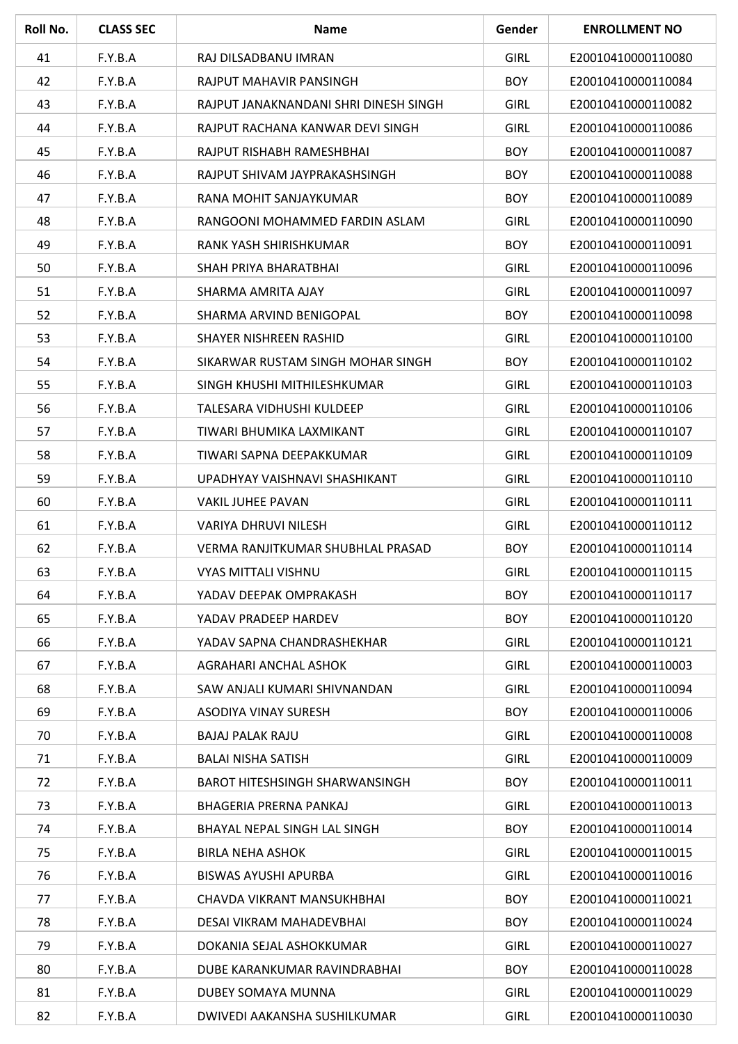| Roll No. | <b>CLASS SEC</b> | <b>Name</b>                           | Gender      | <b>ENROLLMENT NO</b> |
|----------|------------------|---------------------------------------|-------------|----------------------|
| 41       | F.Y.B.A          | RAJ DILSADBANU IMRAN                  | <b>GIRL</b> | E20010410000110080   |
| 42       | F.Y.B.A          | RAJPUT MAHAVIR PANSINGH               | <b>BOY</b>  | E20010410000110084   |
| 43       | F.Y.B.A          | RAJPUT JANAKNANDANI SHRI DINESH SINGH | <b>GIRL</b> | E20010410000110082   |
| 44       | F.Y.B.A          | RAJPUT RACHANA KANWAR DEVI SINGH      | <b>GIRL</b> | E20010410000110086   |
| 45       | F.Y.B.A          | RAJPUT RISHABH RAMESHBHAI             | <b>BOY</b>  | E20010410000110087   |
| 46       | F.Y.B.A          | RAJPUT SHIVAM JAYPRAKASHSINGH         | <b>BOY</b>  | E20010410000110088   |
| 47       | F.Y.B.A          | RANA MOHIT SANJAYKUMAR                | <b>BOY</b>  | E20010410000110089   |
| 48       | F.Y.B.A          | RANGOONI MOHAMMED FARDIN ASLAM        | <b>GIRL</b> | E20010410000110090   |
| 49       | F.Y.B.A          | RANK YASH SHIRISHKUMAR                | <b>BOY</b>  | E20010410000110091   |
| 50       | F.Y.B.A          | SHAH PRIYA BHARATBHAI                 | <b>GIRL</b> | E20010410000110096   |
| 51       | F.Y.B.A          | SHARMA AMRITA AJAY                    | <b>GIRL</b> | E20010410000110097   |
| 52       | F.Y.B.A          | SHARMA ARVIND BENIGOPAL               | <b>BOY</b>  | E20010410000110098   |
| 53       | F.Y.B.A          | SHAYER NISHREEN RASHID                | <b>GIRL</b> | E20010410000110100   |
| 54       | F.Y.B.A          | SIKARWAR RUSTAM SINGH MOHAR SINGH     | <b>BOY</b>  | E20010410000110102   |
| 55       | F.Y.B.A          | SINGH KHUSHI MITHILESHKUMAR           | <b>GIRL</b> | E20010410000110103   |
| 56       | F.Y.B.A          | TALESARA VIDHUSHI KULDEEP             | <b>GIRL</b> | E20010410000110106   |
| 57       | F.Y.B.A          | TIWARI BHUMIKA LAXMIKANT              | <b>GIRL</b> | E20010410000110107   |
| 58       | F.Y.B.A          | TIWARI SAPNA DEEPAKKUMAR              | <b>GIRL</b> | E20010410000110109   |
| 59       | F.Y.B.A          | UPADHYAY VAISHNAVI SHASHIKANT         | <b>GIRL</b> | E20010410000110110   |
| 60       | F.Y.B.A          | <b>VAKIL JUHEE PAVAN</b>              | <b>GIRL</b> | E20010410000110111   |
| 61       | F.Y.B.A          | <b>VARIYA DHRUVI NILESH</b>           | <b>GIRL</b> | E20010410000110112   |
| 62       | F.Y.B.A          | VERMA RANJITKUMAR SHUBHLAL PRASAD     | <b>BOY</b>  | E20010410000110114   |
| 63       | F.Y.B.A          | VYAS MITTALI VISHNU                   | <b>GIRL</b> | E20010410000110115   |
| 64       | F.Y.B.A          | YADAV DEEPAK OMPRAKASH                | <b>BOY</b>  | E20010410000110117   |
| 65       | F.Y.B.A          | YADAV PRADEEP HARDEV                  | <b>BOY</b>  | E20010410000110120   |
| 66       | F.Y.B.A          | YADAV SAPNA CHANDRASHEKHAR            | <b>GIRL</b> | E20010410000110121   |
| 67       | F.Y.B.A          | AGRAHARI ANCHAL ASHOK                 | <b>GIRL</b> | E20010410000110003   |
| 68       | F.Y.B.A          | SAW ANJALI KUMARI SHIVNANDAN          | <b>GIRL</b> | E20010410000110094   |
| 69       | F.Y.B.A          | <b>ASODIYA VINAY SURESH</b>           | <b>BOY</b>  | E20010410000110006   |
| 70       | F.Y.B.A          | <b>BAJAJ PALAK RAJU</b>               | <b>GIRL</b> | E20010410000110008   |
| 71       | F.Y.B.A          | <b>BALAI NISHA SATISH</b>             | <b>GIRL</b> | E20010410000110009   |
| 72       | F.Y.B.A          | <b>BAROT HITESHSINGH SHARWANSINGH</b> | <b>BOY</b>  | E20010410000110011   |
| 73       | F.Y.B.A          | BHAGERIA PRERNA PANKAJ                | <b>GIRL</b> | E20010410000110013   |
| 74       | F.Y.B.A          | BHAYAL NEPAL SINGH LAL SINGH          | <b>BOY</b>  | E20010410000110014   |
| 75       | F.Y.B.A          | <b>BIRLA NEHA ASHOK</b>               | <b>GIRL</b> | E20010410000110015   |
| 76       | F.Y.B.A          | <b>BISWAS AYUSHI APURBA</b>           | <b>GIRL</b> | E20010410000110016   |
| 77       | F.Y.B.A          | CHAVDA VIKRANT MANSUKHBHAI            | <b>BOY</b>  | E20010410000110021   |
| 78       | F.Y.B.A          | DESAI VIKRAM MAHADEVBHAI              | <b>BOY</b>  | E20010410000110024   |
| 79       | F.Y.B.A          | DOKANIA SEJAL ASHOKKUMAR              | <b>GIRL</b> | E20010410000110027   |
| 80       | F.Y.B.A          | DUBE KARANKUMAR RAVINDRABHAI          | <b>BOY</b>  | E20010410000110028   |
| 81       | F.Y.B.A          | DUBEY SOMAYA MUNNA                    | <b>GIRL</b> | E20010410000110029   |
| 82       | F.Y.B.A          | DWIVEDI AAKANSHA SUSHILKUMAR          | GIRL        | E20010410000110030   |